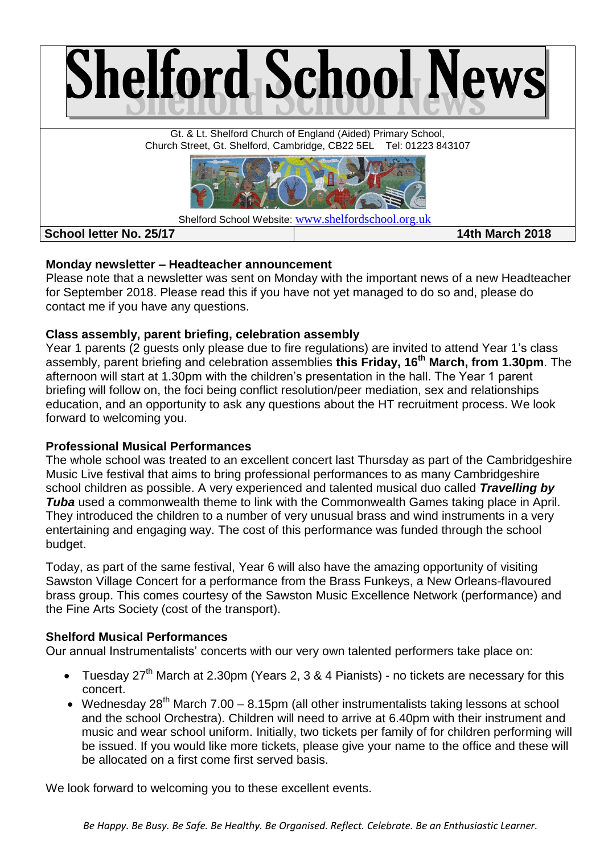

## **Monday newsletter – Headteacher announcement**

Please note that a newsletter was sent on Monday with the important news of a new Headteacher for September 2018. Please read this if you have not yet managed to do so and, please do contact me if you have any questions.

## **Class assembly, parent briefing, celebration assembly**

Year 1 parents (2 guests only please due to fire regulations) are invited to attend Year 1's class assembly, parent briefing and celebration assemblies **this Friday, 16th March, from 1.30pm**. The afternoon will start at 1.30pm with the children's presentation in the hall. The Year 1 parent briefing will follow on, the foci being conflict resolution/peer mediation, sex and relationships education, and an opportunity to ask any questions about the HT recruitment process. We look forward to welcoming you.

# **Professional Musical Performances**

The whole school was treated to an excellent concert last Thursday as part of the Cambridgeshire Music Live festival that aims to bring professional performances to as many Cambridgeshire school children as possible. A very experienced and talented musical duo called *Travelling by Tuba* used a commonwealth theme to link with the Commonwealth Games taking place in April. They introduced the children to a number of very unusual brass and wind instruments in a very entertaining and engaging way. The cost of this performance was funded through the school budget.

Today, as part of the same festival, Year 6 will also have the amazing opportunity of visiting Sawston Village Concert for a performance from the Brass Funkeys, a New Orleans-flavoured brass group. This comes courtesy of the Sawston Music Excellence Network (performance) and the Fine Arts Society (cost of the transport).

# **Shelford Musical Performances**

Our annual Instrumentalists' concerts with our very own talented performers take place on:

- Tuesday 27<sup>th</sup> March at 2.30pm (Years 2, 3 & 4 Pianists) no tickets are necessary for this concert.
- Wednesday 28<sup>th</sup> March 7.00 8.15pm (all other instrumentalists taking lessons at school and the school Orchestra). Children will need to arrive at 6.40pm with their instrument and music and wear school uniform. Initially, two tickets per family of for children performing will be issued. If you would like more tickets, please give your name to the office and these will be allocated on a first come first served basis.

We look forward to welcoming you to these excellent events.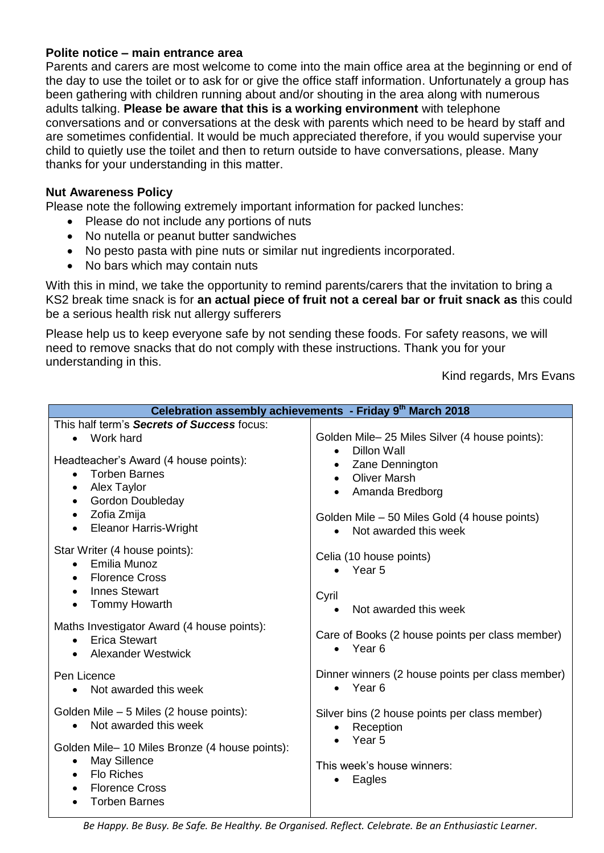## **Polite notice – main entrance area**

Parents and carers are most welcome to come into the main office area at the beginning or end of the day to use the toilet or to ask for or give the office staff information. Unfortunately a group has been gathering with children running about and/or shouting in the area along with numerous adults talking. **Please be aware that this is a working environment** with telephone conversations and or conversations at the desk with parents which need to be heard by staff and are sometimes confidential. It would be much appreciated therefore, if you would supervise your child to quietly use the toilet and then to return outside to have conversations, please. Many thanks for your understanding in this matter.

## **Nut Awareness Policy**

Please note the following extremely important information for packed lunches:

- Please do not include any portions of nuts
- No nutella or peanut butter sandwiches
- No pesto pasta with pine nuts or similar nut ingredients incorporated.
- No bars which may contain nuts

With this in mind, we take the opportunity to remind parents/carers that the invitation to bring a KS2 break time snack is for **an actual piece of fruit not a cereal bar or fruit snack as** this could be a serious health risk nut allergy sufferers

Please help us to keep everyone safe by not sending these foods. For safety reasons, we will need to remove snacks that do not comply with these instructions. Thank you for your understanding in this.

Kind regards, Mrs Evans

| Celebration assembly achievements - Friday 9th March 2018                                                                                                                                                               |                                                                                                                                                 |  |  |
|-------------------------------------------------------------------------------------------------------------------------------------------------------------------------------------------------------------------------|-------------------------------------------------------------------------------------------------------------------------------------------------|--|--|
| This half term's Secrets of Success focus:                                                                                                                                                                              |                                                                                                                                                 |  |  |
| Work hard                                                                                                                                                                                                               | Golden Mile- 25 Miles Silver (4 house points):<br>Dillon Wall<br>$\bullet$                                                                      |  |  |
| Headteacher's Award (4 house points):<br><b>Torben Barnes</b><br>$\bullet$<br>Alex Taylor<br>$\bullet$<br><b>Gordon Doubleday</b><br>$\bullet$<br>Zofia Zmija<br>$\bullet$<br><b>Eleanor Harris-Wright</b><br>$\bullet$ | Zane Dennington<br><b>Oliver Marsh</b><br>$\bullet$<br>Amanda Bredborg<br>Golden Mile – 50 Miles Gold (4 house points)<br>Not awarded this week |  |  |
| Star Writer (4 house points):<br>• Emilia Munoz<br><b>Florence Cross</b><br>$\bullet$<br><b>Innes Stewart</b><br>$\bullet$<br>Tommy Howarth                                                                             | Celia (10 house points)<br>$\bullet$ Year 5<br>Cyril<br>Not awarded this week                                                                   |  |  |
| Maths Investigator Award (4 house points):<br><b>Erica Stewart</b><br>$\bullet$<br><b>Alexander Westwick</b>                                                                                                            | Care of Books (2 house points per class member)<br>Year 6<br>$\bullet$                                                                          |  |  |
| Pen Licence<br>Not awarded this week                                                                                                                                                                                    | Dinner winners (2 house points per class member)<br>Year <sub>6</sub><br>$\bullet$                                                              |  |  |
| Golden Mile - 5 Miles (2 house points):<br>Not awarded this week                                                                                                                                                        | Silver bins (2 house points per class member)<br>Reception                                                                                      |  |  |
| Golden Mile-10 Miles Bronze (4 house points):<br>May Sillence<br>$\bullet$<br><b>Flo Riches</b><br>$\bullet$<br><b>Florence Cross</b><br><b>Torben Barnes</b>                                                           | Year <sub>5</sub><br>This week's house winners:<br>Eagles                                                                                       |  |  |

*Be Happy. Be Busy. Be Safe. Be Healthy. Be Organised. Reflect. Celebrate. Be an Enthusiastic Learner.*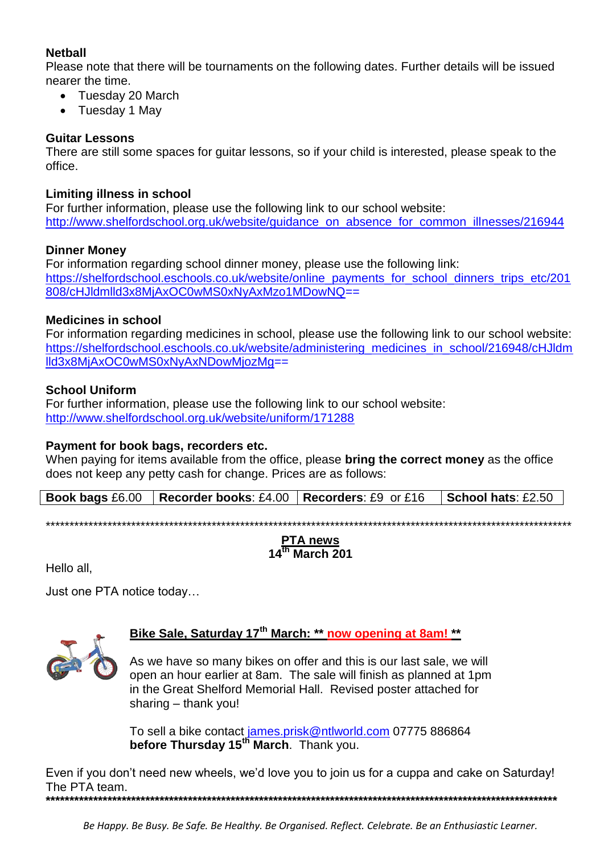## **Netball**

Please note that there will be tournaments on the following dates. Further details will be issued nearer the time.

- Tuesday 20 March
- Tuesday 1 May

## **Guitar Lessons**

There are still some spaces for guitar lessons, so if your child is interested, please speak to the office.

## **Limiting illness in school**

For further information, please use the following link to our school website: [http://www.shelfordschool.org.uk/website/guidance\\_on\\_absence\\_for\\_common\\_illnesses/216944](http://www.shelfordschool.org.uk/website/guidance_on_absence_for_common_illnesses/216944)

## **Dinner Money**

For information regarding school dinner money, please use the following link: [https://shelfordschool.eschools.co.uk/website/online\\_payments\\_for\\_school\\_dinners\\_trips\\_etc/201](https://shelfordschool.eschools.co.uk/website/online_payments_for_school_dinners_trips_etc/201808/cHJldmlld3x8MjAxOC0wMS0xNyAxMzo1MDowNQ) [808/cHJldmlld3x8MjAxOC0wMS0xNyAxMzo1MDowNQ=](https://shelfordschool.eschools.co.uk/website/online_payments_for_school_dinners_trips_etc/201808/cHJldmlld3x8MjAxOC0wMS0xNyAxMzo1MDowNQ)=

## **Medicines in school**

For information regarding medicines in school, please use the following link to our school website: [https://shelfordschool.eschools.co.uk/website/administering\\_medicines\\_in\\_school/216948/cHJldm](https://shelfordschool.eschools.co.uk/website/administering_medicines_in_school/216948/cHJldmlld3x8MjAxOC0wMS0xNyAxNDowMjozMg) [lld3x8MjAxOC0wMS0xNyAxNDowMjozMg=](https://shelfordschool.eschools.co.uk/website/administering_medicines_in_school/216948/cHJldmlld3x8MjAxOC0wMS0xNyAxNDowMjozMg)=

## **School Uniform**

For further information, please use the following link to our school website: <http://www.shelfordschool.org.uk/website/uniform/171288>

## **Payment for book bags, recorders etc.**

When paying for items available from the office, please **bring the correct money** as the office does not keep any petty cash for change. Prices are as follows:

**Book bags** £6.00 **Recorder books**: £4.00 **Recorders**: £9 or £16 **School hats**: £2.50

\*\*\*\*\*\*\*\*\*\*\*\*\*\*\*\*\*\*\*\*\*\*\*\*\*\*\*\*\*\*\*\*\*\*\*\*\*\*\*\*\*\*\*\*\*\*\*\*\*\*\*\*\*\*\*\*\*\*\*\*\*\*\*\*\*\*\*\*\*\*\*\*\*\*\*\*\*\*\*\*\*\*\*\*\*\*\*\*\*\*\*\*\*\*\*\*\*\*\*\*\*\*\*\*\*\*\*\*\*\*\*

## **PTA news 14th March 201**

Hello all,

Just one PTA notice today…



# **Bike Sale, Saturday 17th March: \*\* now opening at 8am! \*\***

As we have so many bikes on offer and this is our last sale, we will open an hour earlier at 8am. The sale will finish as planned at 1pm in the Great Shelford Memorial Hall. Revised poster attached for sharing – thank you!

To sell a bike contact [james.prisk@ntlworld.com](mailto:james.prisk@ntlworld.com) 07775 886864 **before Thursday 15th March**. Thank you.

Even if you don't need new wheels, we'd love you to join us for a cuppa and cake on Saturday! The PTA team. **\*\*\*\*\*\*\*\*\*\*\*\*\*\*\*\*\*\*\*\*\*\*\*\*\*\*\*\*\*\*\*\*\*\*\*\*\*\*\*\*\*\*\*\*\*\*\*\*\*\*\*\*\*\*\*\*\*\*\*\*\*\*\*\*\*\*\*\*\*\*\*\*\*\*\*\*\*\*\*\*\*\*\*\*\*\*\*\*\*\*\*\*\*\*\*\*\*\*\*\*\*\*\*\*\*\*\*\***

*Be Happy. Be Busy. Be Safe. Be Healthy. Be Organised. Reflect. Celebrate. Be an Enthusiastic Learner.*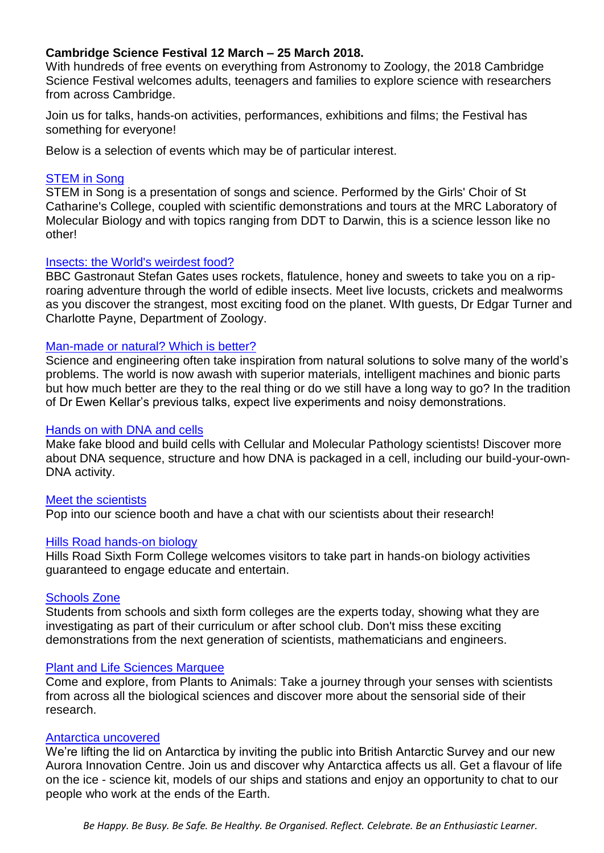## **Cambridge Science Festival 12 March – 25 March 2018.**

With hundreds of free events on everything from Astronomy to Zoology, the 2018 Cambridge Science Festival welcomes adults, teenagers and families to explore science with researchers from across Cambridge.

Join us for talks, hands-on activities, performances, exhibitions and films; the Festival has something for everyone!

Below is a selection of events which may be of particular interest.

### [STEM in Song](https://www.sciencefestival.cam.ac.uk/events/stem-song)

STEM in Song is a presentation of songs and science. Performed by the Girls' Choir of St Catharine's College, coupled with scientific demonstrations and tours at the MRC Laboratory of Molecular Biology and with topics ranging from DDT to Darwin, this is a science lesson like no other!

### [Insects: the World's weirdest food?](https://www.sciencefestival.cam.ac.uk/events/insects-worlds-weirdest-food)

BBC Gastronaut Stefan Gates uses rockets, flatulence, honey and sweets to take you on a riproaring adventure through the world of edible insects. Meet live locusts, crickets and mealworms as you discover the strangest, most exciting food on the planet. WIth guests, Dr Edgar Turner and Charlotte Payne, Department of Zoology.

#### [Man-made or natural? Which is better?](https://www.sciencefestival.cam.ac.uk/events/man-made-or-natural-which-better)

Science and engineering often take inspiration from natural solutions to solve many of the world's problems. The world is now awash with superior materials, intelligent machines and bionic parts but how much better are they to the real thing or do we still have a long way to go? In the tradition of Dr Ewen Kellar's previous talks, expect live experiments and noisy demonstrations.

#### [Hands on with DNA and cells](https://www.sciencefestival.cam.ac.uk/events/hands-dna-and-cells)

Make fake blood and build cells with Cellular and Molecular Pathology scientists! Discover more about DNA sequence, structure and how DNA is packaged in a cell, including our build-your-own-DNA activity.

### [Meet the scientists](https://www.sciencefestival.cam.ac.uk/events/meet-scientists)

Pop into our science booth and have a chat with our scientists about their research!

#### [Hills Road hands-on biology](https://www.sciencefestival.cam.ac.uk/events/hills-road-hands-biology)

Hills Road Sixth Form College welcomes visitors to take part in hands-on biology activities guaranteed to engage educate and entertain.

### [Schools Zone](https://www.sciencefestival.cam.ac.uk/events/schools-zone)

Students from schools and sixth form colleges are the experts today, showing what they are investigating as part of their curriculum or after school club. Don't miss these exciting demonstrations from the next generation of scientists, mathematicians and engineers.

#### [Plant and Life Sciences Marquee](https://www.sciencefestival.cam.ac.uk/events/plant-and-life-sciences-marquee)

Come and explore, from Plants to Animals: Take a journey through your senses with scientists from across all the biological sciences and discover more about the sensorial side of their research.

#### [Antarctica uncovered](https://www.sciencefestival.cam.ac.uk/events/antarctica-uncovered)

We're lifting the lid on Antarctica by inviting the public into British Antarctic Survey and our new Aurora Innovation Centre. Join us and discover why Antarctica affects us all. Get a flavour of life on the ice - science kit, models of our ships and stations and enjoy an opportunity to chat to our people who work at the ends of the Earth.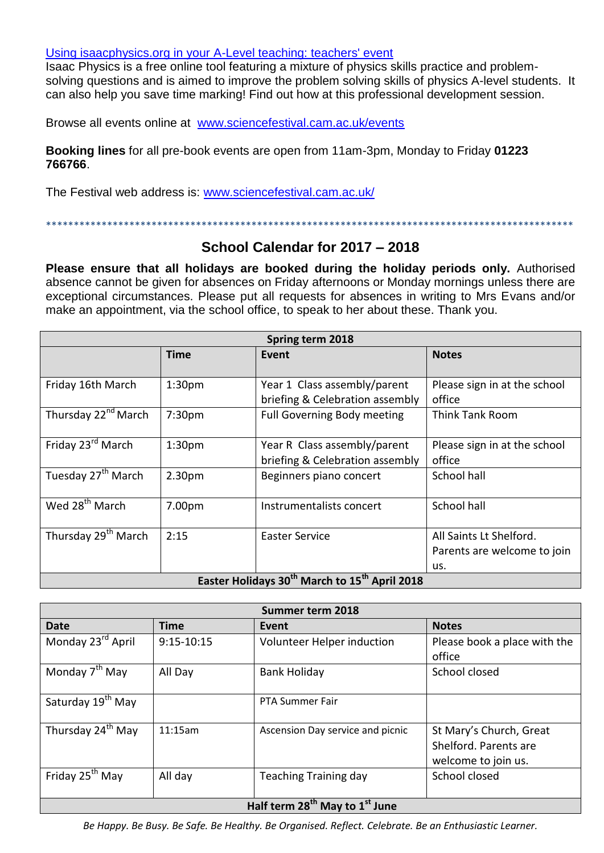### [Using isaacphysics.org in your A-Level teaching: teachers' event](https://www.sciencefestival.cam.ac.uk/events/using-isaacphysicsorg-your-level-teaching-teachers-event)

Isaac Physics is a free online tool featuring a mixture of physics skills practice and problemsolving questions and is aimed to improve the problem solving skills of physics A-level students. It can also help you save time marking! Find out how at this professional development session.

Browse all events online at [www.sciencefestival.cam.ac.uk/events](http://www.sciencefestival.cam.ac.uk/events)

**Booking lines** for all pre-book events are open from 11am-3pm, Monday to Friday **01223 766766**.

\*\*\*\*\*\*\*\*\*\*\*\*\*\*\*\*\*\*\*\*\*\*\*\*\*\*\*\*\*\*\*\*\*\*\*\*\*\*\*\*\*\*\*\*\*\*\*\*\*\*\*\*\*\*\*\*\*\*\*\*\*\*\*\*\*\*\*\*\*\*\*\*\*\*\*\*\*\*\*\*\*\*\*\*\*\*\*\*\*\*\*\*\*\*\*

The Festival web address is: [www.sciencefestival.cam.ac.uk/](http://www.sciencefestival.cam.ac.uk/)

# **School Calendar for 2017 – 2018**

**Please ensure that all holidays are booked during the holiday periods only.** Authorised absence cannot be given for absences on Friday afternoons or Monday mornings unless there are exceptional circumstances. Please put all requests for absences in writing to Mrs Evans and/or make an appointment, via the school office, to speak to her about these. Thank you.

| Spring term 2018                                                      |                    |                                                                 |                                                               |
|-----------------------------------------------------------------------|--------------------|-----------------------------------------------------------------|---------------------------------------------------------------|
|                                                                       | <b>Time</b>        | Event                                                           | <b>Notes</b>                                                  |
| Friday 16th March                                                     | 1:30 <sub>pm</sub> | Year 1 Class assembly/parent<br>briefing & Celebration assembly | Please sign in at the school<br>office                        |
| Thursday 22 <sup>nd</sup> March                                       | 7:30pm             | <b>Full Governing Body meeting</b>                              | <b>Think Tank Room</b>                                        |
| Friday 23 <sup>rd</sup> March                                         | 1:30 <sub>pm</sub> | Year R Class assembly/parent<br>briefing & Celebration assembly | Please sign in at the school<br>office                        |
| Tuesday 27 <sup>th</sup> March                                        | 2.30pm             | Beginners piano concert                                         | School hall                                                   |
| Wed 28 <sup>th</sup> March                                            | 7.00pm             | Instrumentalists concert                                        | School hall                                                   |
| Thursday 29 <sup>th</sup> March                                       | 2:15               | Easter Service                                                  | All Saints Lt Shelford.<br>Parents are welcome to join<br>us. |
| Easter Holidays 30 <sup>th</sup> March to 15 <sup>th</sup> April 2018 |                    |                                                                 |                                                               |

| Summer term 2018                                       |                |                                  |                                                                         |
|--------------------------------------------------------|----------------|----------------------------------|-------------------------------------------------------------------------|
| <b>Date</b>                                            | <b>Time</b>    | Event                            | <b>Notes</b>                                                            |
| Monday 23 <sup>rd</sup> April                          | $9:15 - 10:15$ | Volunteer Helper induction       | Please book a place with the                                            |
|                                                        |                |                                  | office                                                                  |
| Monday 7 <sup>th</sup> May                             | All Day        | <b>Bank Holiday</b>              | School closed                                                           |
| Saturday 19 <sup>th</sup> May                          |                | <b>PTA Summer Fair</b>           |                                                                         |
| Thursday 24 <sup>th</sup> May                          | 11:15am        | Ascension Day service and picnic | St Mary's Church, Great<br>Shelford. Parents are<br>welcome to join us. |
| Friday 25 <sup>th</sup> May                            | All day        | <b>Teaching Training day</b>     | School closed                                                           |
| Half term 28 <sup>th</sup> May to 1 <sup>st</sup> June |                |                                  |                                                                         |

*Be Happy. Be Busy. Be Safe. Be Healthy. Be Organised. Reflect. Celebrate. Be an Enthusiastic Learner.*